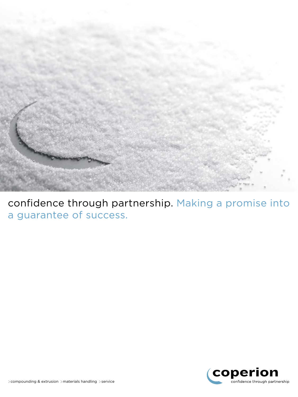

confidence through partnership. Making a promise into a guarantee of success.

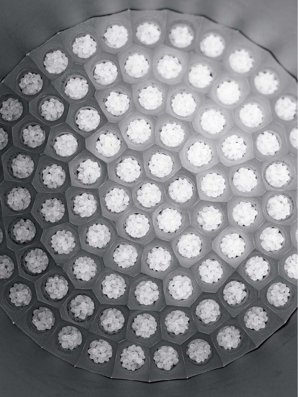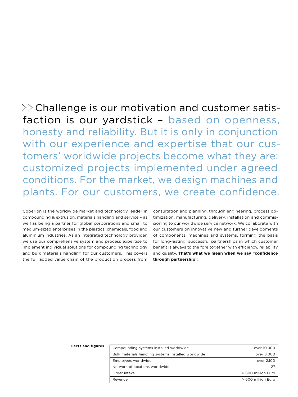# >>Challenge is our motivation and customer satisfaction is our yardstick – based on openness, honesty and reliability. But it is only in conjunction with our experience and expertise that our customers' worldwide projects become what they are: customized projects implemented under agreed conditions. For the market, we design machines and plants. For our customers, we create confidence.

Coperion is the worldwide market and technology leader in compounding & extrusion, materials handling and service – as well as being a partner for global corporations and small to medium-sized enterprises in the plastics, chemicals, food and aluminium industries. As an integrated technology provider, we use our comprehensive system and process expertise to implement individual solutions for compounding technology and bulk materials handling for our customers. This covers the full added value chain of the production process from consultation and planning, through engineering, process optimization, manufacturing, delivery, installation and commissioning to our worldwide service network. We collaborate with our customers on innovative new and further developments of components, machines and systems, forming the basis for long-lasting, successful partnerships in which customer benefit is always to the fore together with efficiency, reliability and quality. **That's what we mean when we say "confidence through partnership".**

## **Facts and figures**

| Compounding systems installed worldwide             | over 10,000        |
|-----------------------------------------------------|--------------------|
| Bulk materials handling systems installed worldwide | over 8.000         |
| Employees worldwide                                 | over 2.100         |
| Network of locations worldwide                      |                    |
| Order intake                                        | > 600 million Euro |
| Revenue                                             | > 600 million Euro |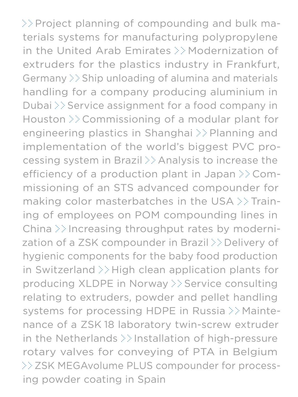>>Project planning of compounding and bulk materials systems for manufacturing polypropylene in the United Arab Emirates >>Modernization of extruders for the plastics industry in Frankfurt, Germany >>Ship unloading of alumina and materials handling for a company producing aluminium in Dubai >> Service assignment for a food company in Houston >>Commissioning of a modular plant for engineering plastics in Shanghai >> Planning and implementation of the world's biggest PVC processing system in Brazil >>Analysis to increase the efficiency of a production plant in Japan >> Commissioning of an STS advanced compounder for making color masterbatches in the USA >> Training of employees on POM compounding lines in China >> Increasing throughput rates by modernization of a ZSK compounder in Brazil >> Delivery of hygienic components for the baby food production in Switzerland >>High clean application plants for producing XLDPE in Norway >>Service consulting relating to extruders, powder and pellet handling systems for processing HDPE in Russia >> Maintenance of a ZSK 18 laboratory twin-screw extruder in the Netherlands >>Installation of high-pressure rotary valves for conveying of PTA in Belgium >>ZSK MEGAvolume PLUS compounder for processing powder coating in Spain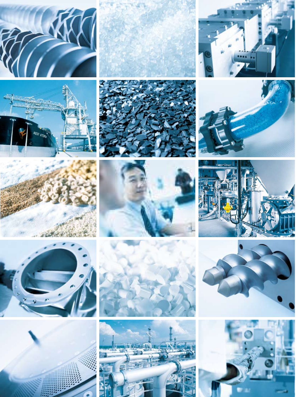

























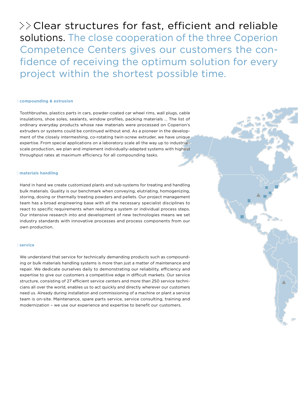>>Clear structures for fast, efficient and reliable solutions. The close cooperation of the three Coperion Competence Centers gives our customers the confidence of receiving the optimum solution for every project within the shortest possible time.

## >**compounding & extrusion**

Toothbrushes, plastics parts in cars, powder-coated car wheel rims, wall plugs, cable insulations, shoe soles, sealants, window profiles, packing materials … The list of ordinary everyday products whose raw materials were processed on Coperion's extruders or systems could be continued without end. As a pioneer in the development of the closely intermeshing, co-rotating twin-screw extruder, we have unique expertise. From special applications on a laboratory scale all the way up to industrialscale production, we plan and implement individually-adapted systems with highest throughput rates at maximum efficiency for all compounding tasks.

## >**materials handling**

Hand in hand we create customized plants and sub-systems for treating and handling bulk materials. Quality is our benchmark when conveying, elutriating, homogenizing, storing, dosing or thermally treating powders and pellets. Our project management team has a broad engineering base with all the necessary specialist disciplines to react to specific requirements when realizing a system or individual process steps. Our intensive research into and development of new technologies means we set industry standards with innovative processes and process components from our own production.

## >**service**

We understand that service for technically demanding products such as compounding or bulk materials handling systems is more than just a matter of maintenance and repair. We dedicate ourselves daily to demonstrating our reliability, efficiency and expertise to give our customers a competitive edge in difficult markets. Our service structure, consisting of 27 efficient service centers and more than 250 service technicians all over the world, enables us to act quickly and directly wherever our customers need us. Already during installation and commissioning of a machine or plant a service team is on-site. Maintenance, spare parts service, service consulting, training and modernization – we use our experience and expertise to benefit our customers.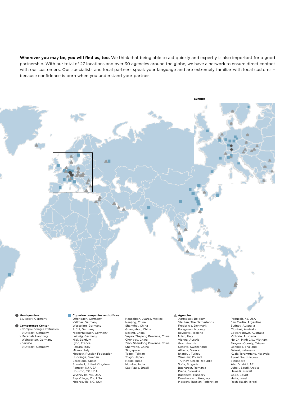**Wherever you may be, you will find us, too.** We think that being able to act quickly and expertly is also important for a good partnership. With our total of 27 locations and over 30 agencies around the globe, we have a network to ensure direct contact with our customers. Our specialists and local partners speak your language and are extremely familiar with local customs – because confidence is born when you understand your partner.



- **Headquarters** Stuttgart, Germany
- **Competence Center**  Compounding & Extrusion Stuttgart, Germany
- >Materials Handling Weingarten, Germany >Service
- Stuttgart, Germany

## **Coperion companies and offices**

Offenbach, Germany Vellmar, Germany Wesseling, Germany Brühl, Germany Niederfüllbach, Germany Leipzig, Germany Niel, Belgium Lyon, France Ferrara, Italy Milano, Italy Moscow, Russian Federation Huddinge, Sweden Barcelona, Spain Bramhall, United Kingdom Ramsey, NJ, USA Houston, TX, USA Wytheville, VA, USA Bay Village, OH, USA Mooresville, NC, USA

Naucalpan, Juárez, Mexico Nanjing, China Shanghai, China Guangzhou, China Beijing, China Yuyao, Zhejiang Province, China Chengdu, China Zibo, Shandong Province, China Shenyang, China Singapore Taipei, Taiwan Tokyo, Japan Noida, India Mumbai, India São Paulo, Brazil

#### **Agencies**

Aartselaar, Belgium Vleuten, The Netherlands Fredericia, Denmark Porsgrunn, Norway Reykjavík, Iceland Milan, Italy Vienna, Austria Graz, Austria Geneva, Switzerland Athens, Greece Istanbul, Turkey Wrocław, Poland Trutnov, Czech Republic Sofia, Bulgaria Bucharest, Romania Praha, Slowakia Budapest, Hungary Dunaharaszti, Hungary Moscow, Russian Federation Paducah, KY, USA San Martin, Argentina Sydney, Australia Clontarf, Australia Edwardstown, Australia Victoria, Australia Ho Chi Minh City, Vietnam Taoyuan County, Taiwan Bangkok, Thailand Bekasi, Indonesia Kuala Terengganu, Malaysia Seoul, South Korea Singapore Abu Dhabi, UAE Jubail, Saudi Arabia Hawalli, Kuwait Cairo, Egypt Haifa, Israel Rosh-Ha'ain, Israel